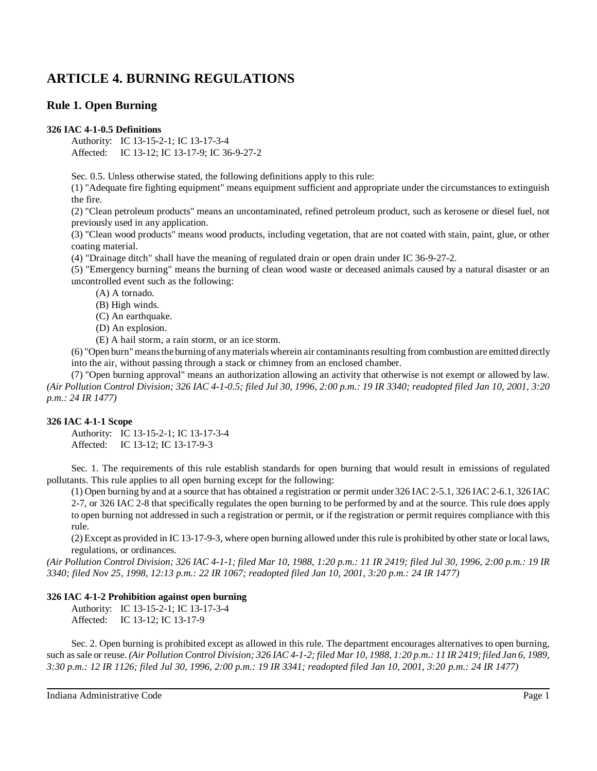# **ARTICLE 4. BURNING REGULATIONS**

# **Rule 1. Open Burning**

## **326 IAC 4-1-0.5 Definitions**

Authority: IC 13-15-2-1; IC 13-17-3-4 Affected: IC 13-12; IC 13-17-9; IC 36-9-27-2

Sec. 0.5. Unless otherwise stated, the following definitions apply to this rule:

(1) "Adequate fire fighting equipment" means equipment sufficient and appropriate under the circumstances to extinguish the fire.

(2) "Clean petroleum products" means an uncontaminated, refined petroleum product, such as kerosene or diesel fuel, not previously used in any application.

(3) "Clean wood products" means wood products, including vegetation, that are not coated with stain, paint, glue, or other coating material.

(4) "Drainage ditch" shall have the meaning of regulated drain or open drain under IC 36-9-27-2.

(5) "Emergency burning" means the burning of clean wood waste or deceased animals caused by a natural disaster or an uncontrolled event such as the following:

(A) A tornado.

(B) High winds.

(C) An earthquake.

(D) An explosion.

(E) A hail storm, a rain storm, or an ice storm.

(6) "Open burn"meansthe burning of anymaterials wherein air contaminantsresulting from combustion are emitted directly into the air, without passing through a stack or chimney from an enclosed chamber.

(7) "Open burning approval" means an authorization allowing an activity that otherwise is not exempt or allowed by law. (Air Pollution Control Division; 326 IAC 4-1-0.5; filed Jul 30, 1996, 2:00 p.m.: 19 IR 3340; readopted filed Jan 10, 2001, 3:20 *p.m.: 24 IR 1477)*

## **326 IAC 4-1-1 Scope**

Authority: IC 13-15-2-1; IC 13-17-3-4 Affected: IC 13-12; IC 13-17-9-3

Sec. 1. The requirements of this rule establish standards for open burning that would result in emissions of regulated pollutants. This rule applies to all open burning except for the following:

(1) Open burning by and at a source that has obtained a registration or permit under326 IAC 2-5.1, 326 IAC 2-6.1, 326 IAC 2-7, or 326 IAC 2-8 that specifically regulates the open burning to be performed by and at the source. This rule does apply to open burning not addressed in such a registration or permit, or if the registration or permit requires compliance with this rule.

(2) Except as provided in IC 13-17-9-3, where open burning allowed under thisrule is prohibited by other state or local laws, regulations, or ordinances.

(Air Pollution Control Division; 326 IAC 4-1-1; filed Mar 10, 1988, 1:20 p.m.: 11 IR 2419; filed Jul 30, 1996, 2:00 p.m.: 19 IR *3340; filed Nov 25, 1998, 12:13 p.m.: 22 IR 1067; readopted filed Jan 10, 2001, 3:20 p.m.: 24 IR 1477)*

## **326 IAC 4-1-2 Prohibition against open burning**

Authority: IC 13-15-2-1; IC 13-17-3-4 Affected: IC 13-12; IC 13-17-9

Sec. 2. Open burning is prohibited except as allowed in this rule. The department encourages alternatives to open burning, such as sale or reuse. (Air Pollution Control Division; 326 IAC 4-1-2; filed Mar 10, 1988, 1:20 p.m.: 11 IR 2419; filed Jan 6, 1989, *3:30 p.m.: 12 IR 1126; filed Jul 30, 1996, 2:00 p.m.: 19 IR 3341; readopted filed Jan 10, 2001, 3:20 p.m.: 24 IR 1477)*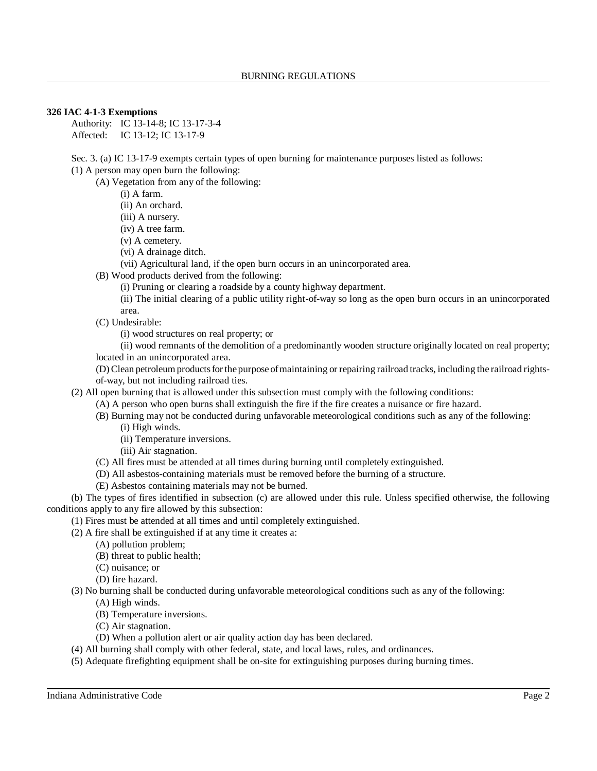#### **326 IAC 4-1-3 Exemptions**

Authority: IC 13-14-8; IC 13-17-3-4 Affected: IC 13-12; IC 13-17-9

Sec. 3. (a) IC 13-17-9 exempts certain types of open burning for maintenance purposes listed as follows:

(1) A person may open burn the following:

(A) Vegetation from any of the following:

(i) A farm.

(ii) An orchard.

(iii) A nursery.

(iv) A tree farm.

(v) A cemetery.

(vi) A drainage ditch.

(vii) Agricultural land, if the open burn occurs in an unincorporated area.

(B) Wood products derived from the following:

(i) Pruning or clearing a roadside by a county highway department.

(ii) The initial clearing of a public utility right-of-way so long as the open burn occurs in an unincorporated area.

(C) Undesirable:

(i) wood structures on real property; or

(ii) wood remnants of the demolition of a predominantly wooden structure originally located on real property; located in an unincorporated area.

(D) Clean petroleum products for the purpose of maintaining or repairing railroad tracks, including the railroad rightsof-way, but not including railroad ties.

(2) All open burning that is allowed under this subsection must comply with the following conditions:

(A) A person who open burns shall extinguish the fire if the fire creates a nuisance or fire hazard.

(B) Burning may not be conducted during unfavorable meteorological conditions such as any of the following:

(i) High winds.

(ii) Temperature inversions.

(iii) Air stagnation.

(C) All fires must be attended at all times during burning until completely extinguished.

(D) All asbestos-containing materials must be removed before the burning of a structure.

(E) Asbestos containing materials may not be burned.

(b) The types of fires identified in subsection (c) are allowed under this rule. Unless specified otherwise, the following conditions apply to any fire allowed by this subsection:

(1) Fires must be attended at all times and until completely extinguished.

(2) A fire shall be extinguished if at any time it creates a:

(A) pollution problem;

(B) threat to public health;

(C) nuisance; or

(D) fire hazard.

(3) No burning shall be conducted during unfavorable meteorological conditions such as any of the following:

(A) High winds.

(B) Temperature inversions.

(C) Air stagnation.

(D) When a pollution alert or air quality action day has been declared.

(4) All burning shall comply with other federal, state, and local laws, rules, and ordinances.

(5) Adequate firefighting equipment shall be on-site for extinguishing purposes during burning times.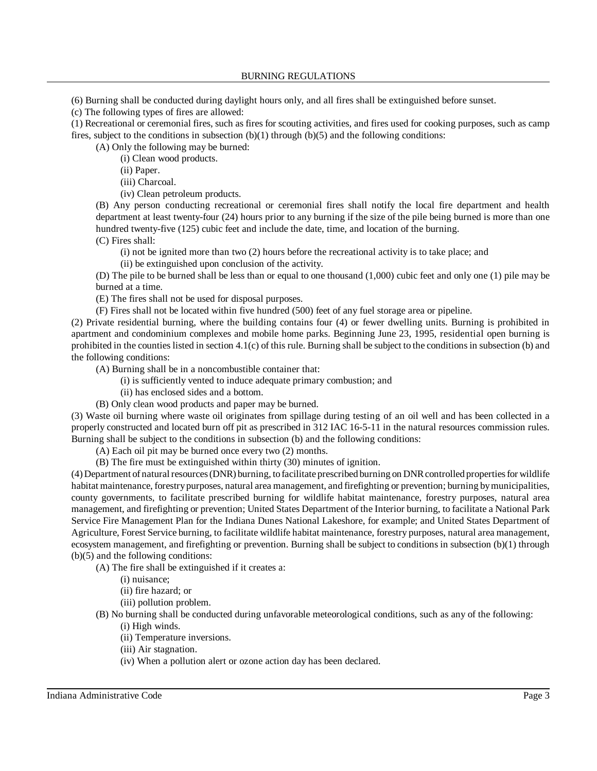(6) Burning shall be conducted during daylight hours only, and all fires shall be extinguished before sunset.

(c) The following types of fires are allowed:

(1) Recreational or ceremonial fires, such as fires for scouting activities, and fires used for cooking purposes, such as camp fires, subject to the conditions in subsection  $(b)(1)$  through  $(b)(5)$  and the following conditions:

(A) Only the following may be burned:

(i) Clean wood products.

(ii) Paper.

(iii) Charcoal.

(iv) Clean petroleum products.

(B) Any person conducting recreational or ceremonial fires shall notify the local fire department and health department at least twenty-four (24) hours prior to any burning if the size of the pile being burned is more than one hundred twenty-five (125) cubic feet and include the date, time, and location of the burning.

(C) Fires shall:

(i) not be ignited more than two (2) hours before the recreational activity is to take place; and

(ii) be extinguished upon conclusion of the activity.

(D) The pile to be burned shall be less than or equal to one thousand (1,000) cubic feet and only one (1) pile may be burned at a time.

(E) The fires shall not be used for disposal purposes.

(F) Fires shall not be located within five hundred (500) feet of any fuel storage area or pipeline.

(2) Private residential burning, where the building contains four (4) or fewer dwelling units. Burning is prohibited in apartment and condominium complexes and mobile home parks. Beginning June 23, 1995, residential open burning is prohibited in the counties listed in section 4.1(c) of this rule. Burning shall be subject to the conditionsin subsection (b) and the following conditions:

(A) Burning shall be in a noncombustible container that:

(i) is sufficiently vented to induce adequate primary combustion; and

(ii) has enclosed sides and a bottom.

(B) Only clean wood products and paper may be burned.

(3) Waste oil burning where waste oil originates from spillage during testing of an oil well and has been collected in a properly constructed and located burn off pit as prescribed in 312 IAC 16-5-11 in the natural resources commission rules. Burning shall be subject to the conditions in subsection (b) and the following conditions:

(A) Each oil pit may be burned once every two (2) months.

(B) The fire must be extinguished within thirty (30) minutes of ignition.

(4) Department of natural resources (DNR) burning, to facilitate prescribed burning on DNR controlled properties for wildlife habitat maintenance, forestrypurposes, natural area management, and firefighting or prevention; burning bymunicipalities, county governments, to facilitate prescribed burning for wildlife habitat maintenance, forestry purposes, natural area management, and firefighting or prevention; United States Department of the Interior burning, to facilitate a National Park Service Fire Management Plan for the Indiana Dunes National Lakeshore, for example; and United States Department of Agriculture, Forest Service burning, to facilitate wildlife habitat maintenance, forestry purposes, natural area management, ecosystem management, and firefighting or prevention. Burning shall be subject to conditions in subsection (b)(1) through (b)(5) and the following conditions:

(A) The fire shall be extinguished if it creates a:

(i) nuisance;

(ii) fire hazard; or

(iii) pollution problem.

(B) No burning shall be conducted during unfavorable meteorological conditions, such as any of the following: (i) High winds.

(ii) Temperature inversions.

(iii) Air stagnation.

(iv) When a pollution alert or ozone action day has been declared.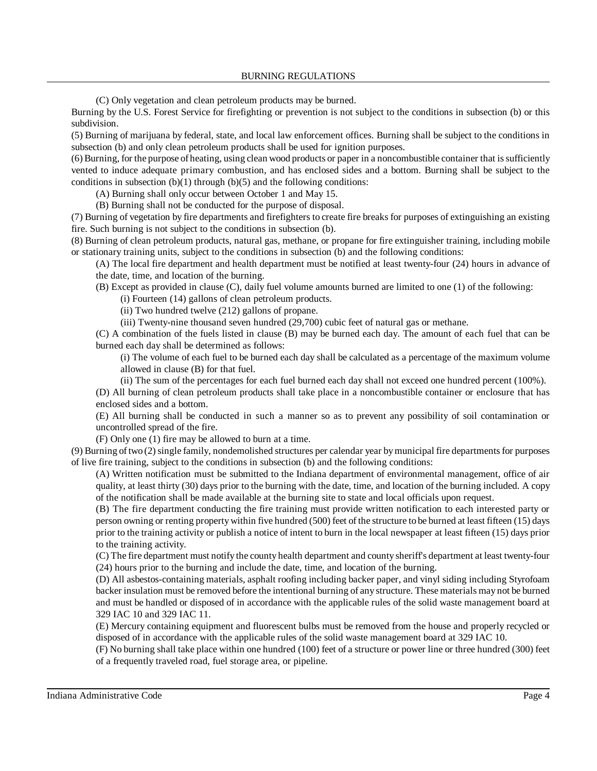(C) Only vegetation and clean petroleum products may be burned.

Burning by the U.S. Forest Service for firefighting or prevention is not subject to the conditions in subsection (b) or this subdivision.

(5) Burning of marijuana by federal, state, and local law enforcement offices. Burning shall be subject to the conditions in subsection (b) and only clean petroleum products shall be used for ignition purposes.

(6) Burning, for the purpose of heating, using clean wood products or paper in a noncombustible container that issufficiently vented to induce adequate primary combustion, and has enclosed sides and a bottom. Burning shall be subject to the conditions in subsection  $(b)(1)$  through  $(b)(5)$  and the following conditions:

(A) Burning shall only occur between October 1 and May 15.

(B) Burning shall not be conducted for the purpose of disposal.

(7) Burning of vegetation by fire departments and firefighters to create fire breaks for purposes of extinguishing an existing fire. Such burning is not subject to the conditions in subsection (b).

(8) Burning of clean petroleum products, natural gas, methane, or propane for fire extinguisher training, including mobile or stationary training units, subject to the conditions in subsection (b) and the following conditions:

(A) The local fire department and health department must be notified at least twenty-four (24) hours in advance of the date, time, and location of the burning.

(B) Except as provided in clause (C), daily fuel volume amounts burned are limited to one (1) of the following:

(i) Fourteen (14) gallons of clean petroleum products.

(ii) Two hundred twelve (212) gallons of propane.

(iii) Twenty-nine thousand seven hundred (29,700) cubic feet of natural gas or methane.

(C) A combination of the fuels listed in clause (B) may be burned each day. The amount of each fuel that can be burned each day shall be determined as follows:

(i) The volume of each fuel to be burned each day shall be calculated as a percentage of the maximum volume allowed in clause (B) for that fuel.

(ii) The sum of the percentages for each fuel burned each day shall not exceed one hundred percent (100%).

(D) All burning of clean petroleum products shall take place in a noncombustible container or enclosure that has enclosed sides and a bottom.

(E) All burning shall be conducted in such a manner so as to prevent any possibility of soil contamination or uncontrolled spread of the fire.

(F) Only one (1) fire may be allowed to burn at a time.

 $(9)$  Burning of two  $(2)$  single family, nondemolished structures per calendar year by municipal fire departments for purposes of live fire training, subject to the conditions in subsection (b) and the following conditions:

(A) Written notification must be submitted to the Indiana department of environmental management, office of air quality, at least thirty (30) days prior to the burning with the date, time, and location of the burning included. A copy of the notification shall be made available at the burning site to state and local officials upon request.

(B) The fire department conducting the fire training must provide written notification to each interested party or person owning or renting property within five hundred (500) feet of the structure to be burned at least fifteen (15) days prior to the training activity or publish a notice of intent to burn in the local newspaper at least fifteen (15) days prior to the training activity.

(C) The fire department must notify the county health department and county sheriff's department at least twenty-four (24) hours prior to the burning and include the date, time, and location of the burning.

(D) All asbestos-containing materials, asphalt roofing including backer paper, and vinyl siding including Styrofoam backer insulation must be removed before the intentional burning of any structure. These materials may not be burned and must be handled or disposed of in accordance with the applicable rules of the solid waste management board at 329 IAC 10 and 329 IAC 11.

(E) Mercury containing equipment and fluorescent bulbs must be removed from the house and properly recycled or disposed of in accordance with the applicable rules of the solid waste management board at 329 IAC 10.

(F) No burning shall take place within one hundred (100) feet of a structure or power line or three hundred (300) feet of a frequently traveled road, fuel storage area, or pipeline.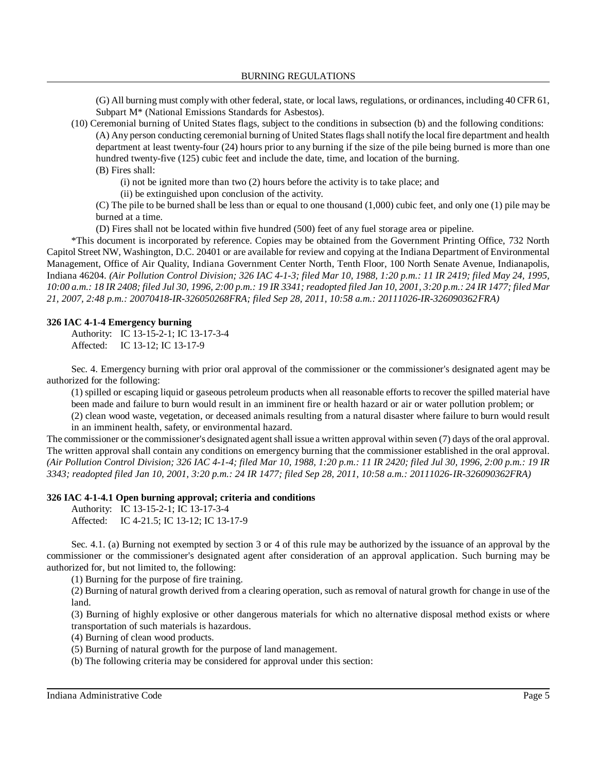(G) All burning must complywith other federal, state, or local laws, regulations, or ordinances, including 40 CFR 61, Subpart M\* (National Emissions Standards for Asbestos).

(10) Ceremonial burning of United States flags, subject to the conditions in subsection (b) and the following conditions: (A) Any person conducting ceremonial burning of United Statesflagsshall notify the local fire department and health department at least twenty-four (24) hours prior to any burning if the size of the pile being burned is more than one hundred twenty-five (125) cubic feet and include the date, time, and location of the burning. (B) Fires shall:

(i) not be ignited more than two (2) hours before the activity is to take place; and

(ii) be extinguished upon conclusion of the activity.

(C) The pile to be burned shall be less than or equal to one thousand (1,000) cubic feet, and only one (1) pile may be burned at a time.

(D) Fires shall not be located within five hundred (500) feet of any fuel storage area or pipeline.

\*This document is incorporated by reference. Copies may be obtained from the Government Printing Office, 732 North Capitol Street NW, Washington, D.C. 20401 or are available for review and copying at the Indiana Department of Environmental Management, Office of Air Quality, Indiana Government Center North, Tenth Floor, 100 North Senate Avenue, Indianapolis, Indiana 46204. *(Air Pollution Control Division; 326 IAC 4-1-3; filed Mar 10, 1988, 1:20 p.m.: 11 IR 2419; filed May 24, 1995,* 10:00 a.m.: 18 IR 2408; filed Jul 30, 1996, 2:00 p.m.: 19 IR 3341; readopted filed Jan 10, 2001, 3:20 p.m.: 24 IR 1477; filed Mar *21, 2007, 2:48 p.m.: 20070418-IR-326050268FRA; filed Sep 28, 2011, 10:58 a.m.: 20111026-IR-326090362FRA)*

## **326 IAC 4-1-4 Emergency burning**

Authority: IC 13-15-2-1; IC 13-17-3-4 Affected: IC 13-12; IC 13-17-9

Sec. 4. Emergency burning with prior oral approval of the commissioner or the commissioner's designated agent may be authorized for the following:

(1) spilled or escaping liquid or gaseous petroleum products when all reasonable efforts to recover the spilled material have been made and failure to burn would result in an imminent fire or health hazard or air or water pollution problem; or (2) clean wood waste, vegetation, or deceased animals resulting from a natural disaster where failure to burn would result in an imminent health, safety, or environmental hazard.

The commissioner or the commissioner's designated agent shall issue a written approval within seven (7) days of the oral approval. The written approval shall contain any conditions on emergency burning that the commissioner established in the oral approval. (Air Pollution Control Division; 326 IAC 4-1-4; filed Mar 10, 1988, 1:20 p.m.: 11 IR 2420; filed Jul 30, 1996, 2:00 p.m.: 19 IR *3343; readopted filed Jan 10, 2001, 3:20 p.m.: 24 IR 1477; filed Sep 28, 2011, 10:58 a.m.: 20111026-IR-326090362FRA)*

## **326 IAC 4-1-4.1 Open burning approval; criteria and conditions**

Authority: IC 13-15-2-1; IC 13-17-3-4

Affected: IC 4-21.5; IC 13-12; IC 13-17-9

Sec. 4.1. (a) Burning not exempted by section 3 or 4 of this rule may be authorized by the issuance of an approval by the commissioner or the commissioner's designated agent after consideration of an approval application. Such burning may be authorized for, but not limited to, the following:

(1) Burning for the purpose of fire training.

(2) Burning of natural growth derived from a clearing operation, such as removal of natural growth for change in use of the land.

(3) Burning of highly explosive or other dangerous materials for which no alternative disposal method exists or where transportation of such materials is hazardous.

(4) Burning of clean wood products.

(5) Burning of natural growth for the purpose of land management.

(b) The following criteria may be considered for approval under this section: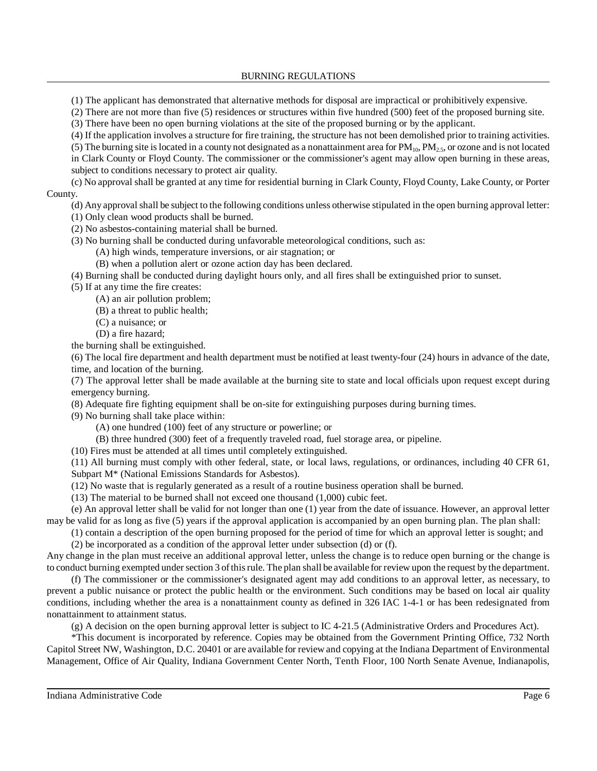BURNING REGULATIONS

(1) The applicant has demonstrated that alternative methods for disposal are impractical or prohibitively expensive.

(2) There are not more than five (5) residences or structures within five hundred (500) feet of the proposed burning site.

(3) There have been no open burning violations at the site of the proposed burning or by the applicant.

(4) If the application involves a structure for fire training, the structure has not been demolished prior to training activities.

(5) The burning site is located in a county not designated as a nonattainment area for  $PM_{10}$ ,  $PM_{25}$ , or ozone and is not located in Clark County or Floyd County. The commissioner or the commissioner's agent may allow open burning in these areas, subject to conditions necessary to protect air quality.

(c) No approval shall be granted at any time for residential burning in Clark County, Floyd County, Lake County, or Porter County.

(d) Any approval shall be subject to the following conditions unless otherwise stipulated in the open burning approval letter:

- (1) Only clean wood products shall be burned.
- (2) No asbestos-containing material shall be burned.
- (3) No burning shall be conducted during unfavorable meteorological conditions, such as:
	- (A) high winds, temperature inversions, or air stagnation; or
		- (B) when a pollution alert or ozone action day has been declared.

(4) Burning shall be conducted during daylight hours only, and all fires shall be extinguished prior to sunset.

(5) If at any time the fire creates:

(A) an air pollution problem;

- (B) a threat to public health;
- (C) a nuisance; or
- (D) a fire hazard;

the burning shall be extinguished.

(6) The local fire department and health department must be notified at least twenty-four (24) hours in advance of the date, time, and location of the burning.

(7) The approval letter shall be made available at the burning site to state and local officials upon request except during emergency burning.

(8) Adequate fire fighting equipment shall be on-site for extinguishing purposes during burning times.

(9) No burning shall take place within:

(A) one hundred (100) feet of any structure or powerline; or

(B) three hundred (300) feet of a frequently traveled road, fuel storage area, or pipeline.

(10) Fires must be attended at all times until completely extinguished.

(11) All burning must comply with other federal, state, or local laws, regulations, or ordinances, including 40 CFR 61, Subpart M\* (National Emissions Standards for Asbestos).

(12) No waste that is regularly generated as a result of a routine business operation shall be burned.

(13) The material to be burned shall not exceed one thousand (1,000) cubic feet.

(e) An approval letter shall be valid for not longer than one (1) year from the date of issuance. However, an approval letter may be valid for as long as five (5) years if the approval application is accompanied by an open burning plan. The plan shall:

(1) contain a description of the open burning proposed for the period of time for which an approval letter is sought; and (2) be incorporated as a condition of the approval letter under subsection (d) or (f).

Any change in the plan must receive an additional approval letter, unless the change is to reduce open burning or the change is to conduct burning exempted undersection 3 ofthisrule. The plan shall be available for review upon the request by the department.

(f) The commissioner or the commissioner's designated agent may add conditions to an approval letter, as necessary, to prevent a public nuisance or protect the public health or the environment. Such conditions may be based on local air quality conditions, including whether the area is a nonattainment county as defined in 326 IAC 1-4-1 or has been redesignated from nonattainment to attainment status.

(g) A decision on the open burning approval letter is subject to IC 4-21.5 (Administrative Orders and Procedures Act).

\*This document is incorporated by reference. Copies may be obtained from the Government Printing Office, 732 North Capitol Street NW, Washington, D.C. 20401 or are available for review and copying at the Indiana Department of Environmental Management, Office of Air Quality, Indiana Government Center North, Tenth Floor, 100 North Senate Avenue, Indianapolis,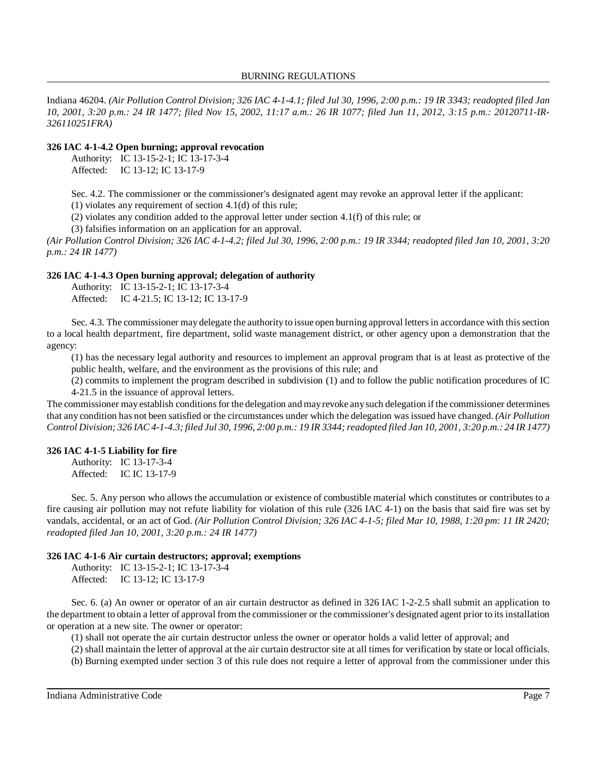#### BURNING REGULATIONS

Indiana 46204. (Air Pollution Control Division; 326 IAC 4-1-4.1; filed Jul 30, 1996, 2:00 p.m.: 19 IR 3343; readopted filed Jan 10, 2001, 3:20 p.m.: 24 IR 1477; filed Nov 15, 2002, 11:17 a.m.: 26 IR 1077; filed Jun 11, 2012, 3:15 p.m.: 20120711-IR-*326110251FRA)*

#### **326 IAC 4-1-4.2 Open burning; approval revocation**

Authority: IC 13-15-2-1; IC 13-17-3-4 Affected: IC 13-12; IC 13-17-9

Sec. 4.2. The commissioner or the commissioner's designated agent may revoke an approval letter if the applicant:

(1) violates any requirement of section 4.1(d) of this rule;

(2) violates any condition added to the approval letter under section 4.1(f) of this rule; or

(3) falsifies information on an application for an approval.

(Air Pollution Control Division; 326 IAC 4-1-4.2; filed Jul 30, 1996, 2:00 p.m.: 19 IR 3344; readopted filed Jan 10, 2001, 3:20 *p.m.: 24 IR 1477)*

#### **326 IAC 4-1-4.3 Open burning approval; delegation of authority**

Authority: IC 13-15-2-1; IC 13-17-3-4 Affected: IC 4-21.5; IC 13-12; IC 13-17-9

Sec. 4.3. The commissioner may delegate the authority to issue open burning approval letters in accordance with this section to a local health department, fire department, solid waste management district, or other agency upon a demonstration that the agency:

(1) has the necessary legal authority and resources to implement an approval program that is at least as protective of the public health, welfare, and the environment as the provisions of this rule; and

(2) commits to implement the program described in subdivision (1) and to follow the public notification procedures of IC 4-21.5 in the issuance of approval letters.

The commissioner may establish conditions for the delegation and may revoke any such delegation if the commissioner determines that any condition has not been satisfied or the circumstances under which the delegation was issued have changed. *(Air Pollution* Control Division; 326 IAC 4-1-4.3; filed Jul 30, 1996, 2:00 p.m.: 19 IR 3344; readopted filed Jan 10, 2001, 3:20 p.m.: 24 IR 1477)

#### **326 IAC 4-1-5 Liability for fire**

Authority: IC 13-17-3-4 Affected: IC IC 13-17-9

Sec. 5. Any person who allows the accumulation or existence of combustible material which constitutes or contributes to a fire causing air pollution may not refute liability for violation of this rule (326 IAC 4-1) on the basis that said fire was set by vandals, accidental, or an act of God. (Air Pollution Control Division; 326 IAC 4-1-5; filed Mar 10, 1988, 1:20 pm: 11 IR 2420; *readopted filed Jan 10, 2001, 3:20 p.m.: 24 IR 1477)*

#### **326 IAC 4-1-6 Air curtain destructors; approval; exemptions**

Authority: IC 13-15-2-1; IC 13-17-3-4 Affected: IC 13-12; IC 13-17-9

Sec. 6. (a) An owner or operator of an air curtain destructor as defined in 326 IAC 1-2-2.5 shall submit an application to the department to obtain a letter of approval from the commissioner or the commissioner's designated agent prior to itsinstallation or operation at a new site. The owner or operator:

(1) shall not operate the air curtain destructor unless the owner or operator holds a valid letter of approval; and

(2) shall maintain the letter of approval at the air curtain destructor site at all times for verification by state or local officials.

(b) Burning exempted under section 3 of this rule does not require a letter of approval from the commissioner under this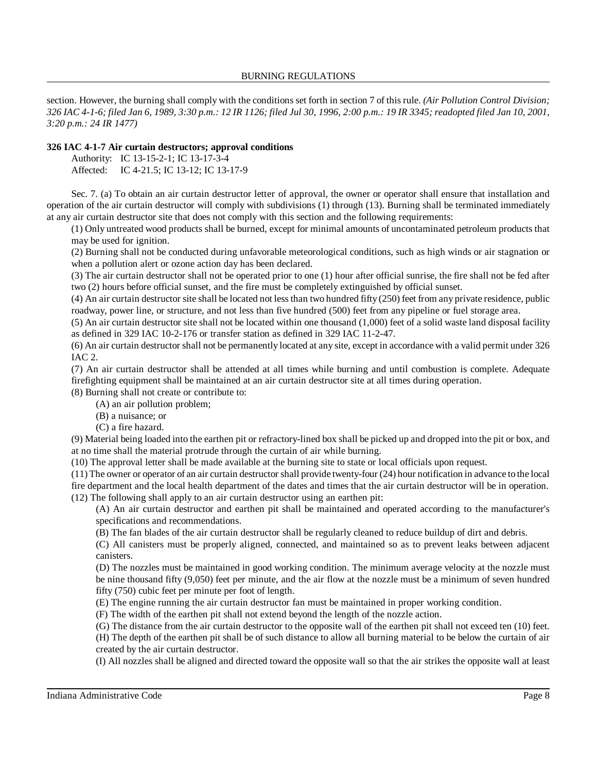section. However, the burning shall comply with the conditions set forth in section 7 of this rule. *(Air Pollution Control Division;* 326 IAC 4-1-6; filed Jan 6, 1989, 3:30 p.m.: 12 IR 1126; filed Jul 30, 1996, 2:00 p.m.: 19 IR 3345; readopted filed Jan 10, 2001, *3:20 p.m.: 24 IR 1477)*

## **326 IAC 4-1-7 Air curtain destructors; approval conditions**

Authority: IC 13-15-2-1; IC 13-17-3-4

Affected: IC 4-21.5; IC 13-12; IC 13-17-9

Sec. 7. (a) To obtain an air curtain destructor letter of approval, the owner or operator shall ensure that installation and operation of the air curtain destructor will comply with subdivisions (1) through (13). Burning shall be terminated immediately at any air curtain destructor site that does not comply with this section and the following requirements:

(1) Only untreated wood products shall be burned, except for minimal amounts of uncontaminated petroleum products that may be used for ignition.

(2) Burning shall not be conducted during unfavorable meteorological conditions, such as high winds or air stagnation or when a pollution alert or ozone action day has been declared.

(3) The air curtain destructor shall not be operated prior to one (1) hour after official sunrise, the fire shall not be fed after two (2) hours before official sunset, and the fire must be completely extinguished by official sunset.

(4) An air curtain destructor site shall be located not lessthan two hundred fifty (250) feet from any private residence, public roadway, power line, or structure, and not less than five hundred (500) feet from any pipeline or fuel storage area.

(5) An air curtain destructor site shall not be located within one thousand (1,000) feet of a solid waste land disposal facility as defined in 329 IAC 10-2-176 or transfer station as defined in 329 IAC 11-2-47.

(6) An air curtain destructor shall not be permanently located at any site, except in accordance with a valid permit under 326 IAC 2.

(7) An air curtain destructor shall be attended at all times while burning and until combustion is complete. Adequate firefighting equipment shall be maintained at an air curtain destructor site at all times during operation.

(8) Burning shall not create or contribute to:

(A) an air pollution problem;

(B) a nuisance; or

(C) a fire hazard.

(9) Material being loaded into the earthen pit or refractory-lined box shall be picked up and dropped into the pit or box, and at no time shall the material protrude through the curtain of air while burning.

(10) The approval letter shall be made available at the burning site to state or local officials upon request.

(11) The owner or operator of an air curtain destructorshall provide twenty-four (24) hour notification in advance to the local fire department and the local health department of the dates and times that the air curtain destructor will be in operation. (12) The following shall apply to an air curtain destructor using an earthen pit:

(A) An air curtain destructor and earthen pit shall be maintained and operated according to the manufacturer's specifications and recommendations.

(B) The fan blades of the air curtain destructor shall be regularly cleaned to reduce buildup of dirt and debris.

(C) All canisters must be properly aligned, connected, and maintained so as to prevent leaks between adjacent canisters.

(D) The nozzles must be maintained in good working condition. The minimum average velocity at the nozzle must be nine thousand fifty (9,050) feet per minute, and the air flow at the nozzle must be a minimum of seven hundred fifty (750) cubic feet per minute per foot of length.

(E) The engine running the air curtain destructor fan must be maintained in proper working condition.

(F) The width of the earthen pit shall not extend beyond the length of the nozzle action.

(G) The distance from the air curtain destructor to the opposite wall of the earthen pit shall not exceed ten (10) feet.

(H) The depth of the earthen pit shall be of such distance to allow all burning material to be below the curtain of air created by the air curtain destructor.

(I) All nozzles shall be aligned and directed toward the opposite wall so that the air strikes the opposite wall at least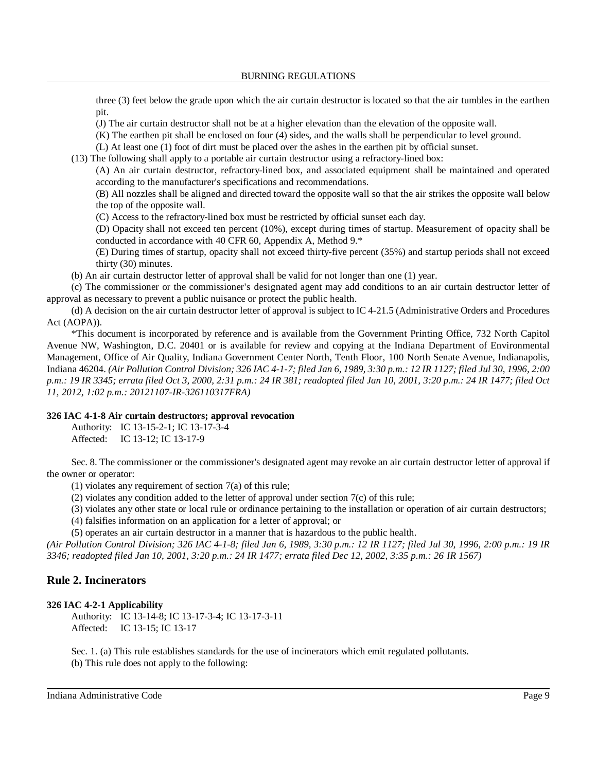three (3) feet below the grade upon which the air curtain destructor is located so that the air tumbles in the earthen pit.

(J) The air curtain destructor shall not be at a higher elevation than the elevation of the opposite wall.

(K) The earthen pit shall be enclosed on four (4) sides, and the walls shall be perpendicular to level ground.

(L) At least one (1) foot of dirt must be placed over the ashes in the earthen pit by official sunset.

(13) The following shall apply to a portable air curtain destructor using a refractory-lined box:

(A) An air curtain destructor, refractory-lined box, and associated equipment shall be maintained and operated according to the manufacturer's specifications and recommendations.

(B) All nozzles shall be aligned and directed toward the opposite wall so that the air strikes the opposite wall below the top of the opposite wall.

(C) Access to the refractory-lined box must be restricted by official sunset each day.

(D) Opacity shall not exceed ten percent (10%), except during times of startup. Measurement of opacity shall be conducted in accordance with 40 CFR 60, Appendix A, Method 9.\*

(E) During times of startup, opacity shall not exceed thirty-five percent (35%) and startup periods shall not exceed thirty (30) minutes.

(b) An air curtain destructor letter of approval shall be valid for not longer than one (1) year.

(c) The commissioner or the commissioner's designated agent may add conditions to an air curtain destructor letter of approval as necessary to prevent a public nuisance or protect the public health.

(d) A decision on the air curtain destructor letter of approval is subject to IC 4-21.5 (Administrative Orders and Procedures Act (AOPA)).

\*This document is incorporated by reference and is available from the Government Printing Office, 732 North Capitol Avenue NW, Washington, D.C. 20401 or is available for review and copying at the Indiana Department of Environmental Management, Office of Air Quality, Indiana Government Center North, Tenth Floor, 100 North Senate Avenue, Indianapolis, Indiana 46204. (Air Pollution Control Division; 326 IAC 4-1-7; filed Jan 6, 1989, 3:30 p.m.: 12 IR 1127; filed Jul 30, 1996, 2:00 p.m.: 19 IR 3345; errata filed Oct 3, 2000, 2:31 p.m.: 24 IR 381; readopted filed Jan 10, 2001, 3:20 p.m.: 24 IR 1477; filed Oct *11, 2012, 1:02 p.m.: 20121107-IR-326110317FRA)*

## **326 IAC 4-1-8 Air curtain destructors; approval revocation**

Authority: IC 13-15-2-1; IC 13-17-3-4 Affected: IC 13-12; IC 13-17-9

Sec. 8. The commissioner or the commissioner's designated agent may revoke an air curtain destructor letter of approval if the owner or operator:

(1) violates any requirement of section 7(a) of this rule;

(2) violates any condition added to the letter of approval under section 7(c) of this rule;

(3) violates any other state or local rule or ordinance pertaining to the installation or operation of air curtain destructors;

(4) falsifies information on an application for a letter of approval; or

(5) operates an air curtain destructor in a manner that is hazardous to the public health.

(Air Pollution Control Division; 326 IAC 4-1-8; filed Jan 6, 1989, 3:30 p.m.: 12 IR 1127; filed Jul 30, 1996, 2:00 p.m.: 19 IR *3346; readopted filed Jan 10, 2001, 3:20 p.m.: 24 IR 1477; errata filed Dec 12, 2002, 3:35 p.m.: 26 IR 1567)*

# **Rule 2. Incinerators**

## **326 IAC 4-2-1 Applicability**

Authority: IC 13-14-8; IC 13-17-3-4; IC 13-17-3-11 Affected: IC 13-15; IC 13-17

Sec. 1. (a) This rule establishes standards for the use of incinerators which emit regulated pollutants. (b) This rule does not apply to the following: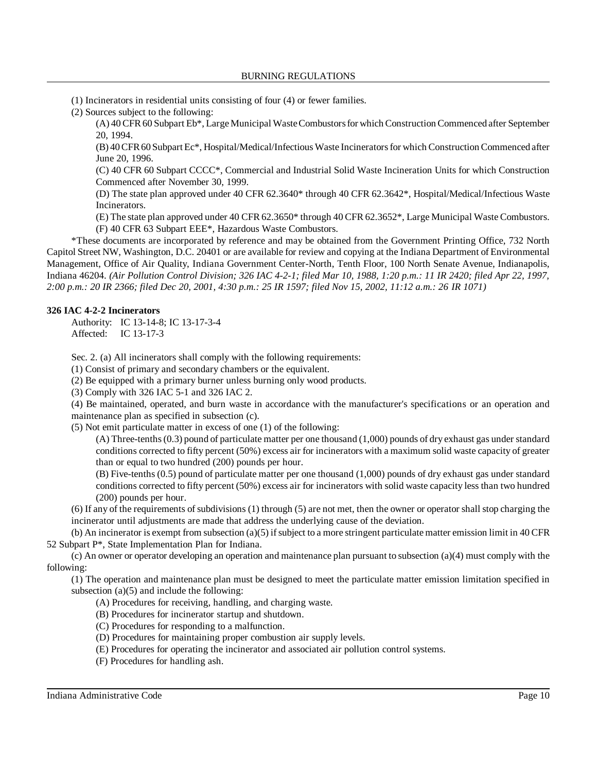(1) Incinerators in residential units consisting of four (4) or fewer families.

(2) Sources subject to the following:

(A) 40 CFR60 Subpart Eb\*, Large Municipal WasteCombustorsfor which Construction Commenced after September 20, 1994.

(B) 40CFR60 Subpart Ec\*, Hospital/Medical/Infectious Waste Incineratorsfor which Construction Commenced after June 20, 1996.

(C) 40 CFR 60 Subpart CCCC\*, Commercial and Industrial Solid Waste Incineration Units for which Construction Commenced after November 30, 1999.

(D) The state plan approved under 40 CFR 62.3640\* through 40 CFR 62.3642\*, Hospital/Medical/Infectious Waste Incinerators.

(E) The state plan approved under 40 CFR 62.3650\* through 40 CFR 62.3652\*, Large Municipal Waste Combustors. (F) 40 CFR 63 Subpart EEE\*, Hazardous Waste Combustors.

\*These documents are incorporated by reference and may be obtained from the Government Printing Office, 732 North Capitol Street NW, Washington, D.C. 20401 or are available for review and copying at the Indiana Department of Environmental Management, Office of Air Quality, Indiana Government Center-North, Tenth Floor, 100 North Senate Avenue, Indianapolis, Indiana 46204. *(Air Pollution Control Division; 326 IAC 4-2-1; filed Mar 10, 1988, 1:20 p.m.: 11 IR 2420; filed Apr 22, 1997, 2:00 p.m.: 20 IR 2366; filed Dec 20, 2001, 4:30 p.m.: 25 IR 1597; filed Nov 15, 2002, 11:12 a.m.: 26 IR 1071)*

#### **326 IAC 4-2-2 Incinerators**

Authority: IC 13-14-8; IC 13-17-3-4 Affected: IC 13-17-3

Sec. 2. (a) All incinerators shall comply with the following requirements:

(1) Consist of primary and secondary chambers or the equivalent.

(2) Be equipped with a primary burner unless burning only wood products.

(3) Comply with 326 IAC 5-1 and 326 IAC 2.

(4) Be maintained, operated, and burn waste in accordance with the manufacturer's specifications or an operation and maintenance plan as specified in subsection (c).

(5) Not emit particulate matter in excess of one (1) of the following:

(A) Three-tenths(0.3) pound of particulate matter per one thousand (1,000) pounds of dry exhaust gas under standard conditions corrected to fifty percent (50%) excess air for incinerators with a maximum solid waste capacity of greater than or equal to two hundred (200) pounds per hour.

(B) Five-tenths (0.5) pound of particulate matter per one thousand (1,000) pounds of dry exhaust gas under standard conditions corrected to fifty percent (50%) excess air for incinerators with solid waste capacity less than two hundred (200) pounds per hour.

 $(6)$  If any of the requirements of subdivisions  $(1)$  through  $(5)$  are not met, then the owner or operator shall stop charging the incinerator until adjustments are made that address the underlying cause of the deviation.

(b) An incinerator is exempt from subsection  $(a)(5)$  if subject to a more stringent particulate matter emission limit in 40 CFR 52 Subpart P\*, State Implementation Plan for Indiana.

(c) An owner or operator developing an operation and maintenance plan pursuant to subsection (a)(4) must comply with the following:

(1) The operation and maintenance plan must be designed to meet the particulate matter emission limitation specified in subsection  $(a)(5)$  and include the following:

- (A) Procedures for receiving, handling, and charging waste.
- (B) Procedures for incinerator startup and shutdown.
- (C) Procedures for responding to a malfunction.
- (D) Procedures for maintaining proper combustion air supply levels.
- (E) Procedures for operating the incinerator and associated air pollution control systems.
- (F) Procedures for handling ash.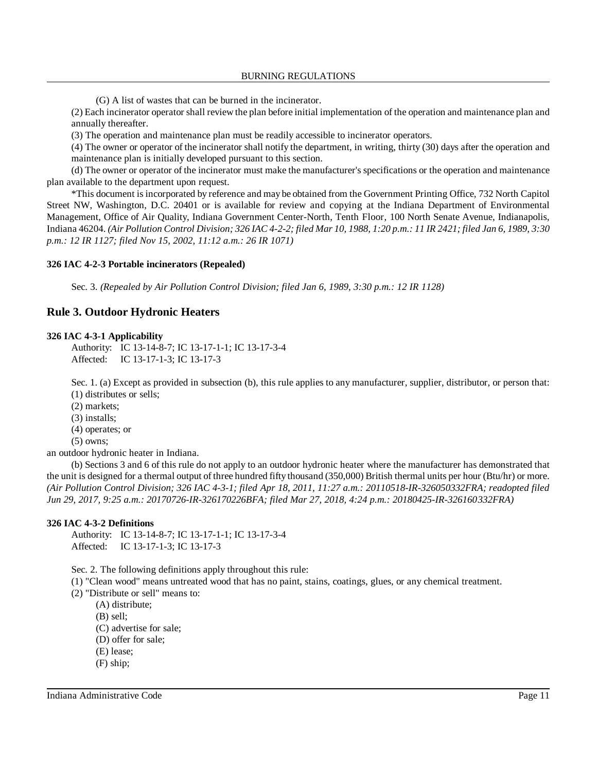(G) A list of wastes that can be burned in the incinerator.

(2) Each incinerator operator shall review the plan before initial implementation of the operation and maintenance plan and annually thereafter.

(3) The operation and maintenance plan must be readily accessible to incinerator operators.

(4) The owner or operator of the incinerator shall notify the department, in writing, thirty (30) days after the operation and maintenance plan is initially developed pursuant to this section.

(d) The owner or operator of the incinerator must make the manufacturer's specifications or the operation and maintenance plan available to the department upon request.

\*This document is incorporated by reference and may be obtained from the Government Printing Office, 732 North Capitol Street NW, Washington, D.C. 20401 or is available for review and copying at the Indiana Department of Environmental Management, Office of Air Quality, Indiana Government Center-North, Tenth Floor, 100 North Senate Avenue, Indianapolis, Indiana 46204. (Air Pollution Control Division; 326 IAC 4-2-2; filed Mar 10, 1988, 1:20 p.m.: 11 IR 2421; filed Jan 6, 1989, 3:30 *p.m.: 12 IR 1127; filed Nov 15, 2002, 11:12 a.m.: 26 IR 1071)*

#### **326 IAC 4-2-3 Portable incinerators (Repealed)**

Sec. 3. *(Repealed by Air Pollution Control Division; filed Jan 6, 1989, 3:30 p.m.: 12 IR 1128)*

# **Rule 3. Outdoor Hydronic Heaters**

#### **326 IAC 4-3-1 Applicability**

Authority: IC 13-14-8-7; IC 13-17-1-1; IC 13-17-3-4 Affected: IC 13-17-1-3; IC 13-17-3

Sec. 1. (a) Except as provided in subsection (b), this rule applies to any manufacturer, supplier, distributor, or person that: (1) distributes or sells;

(2) markets;

(3) installs;

(4) operates; or

(5) owns;

an outdoor hydronic heater in Indiana.

(b) Sections 3 and 6 of this rule do not apply to an outdoor hydronic heater where the manufacturer has demonstrated that the unit is designed for a thermal output of three hundred fifty thousand (350,000) British thermal units per hour (Btu/hr) or more. *(Air Pollution Control Division; 326 IAC 4-3-1; filed Apr 18, 2011, 11:27 a.m.: 20110518-IR-326050332FRA; readopted filed Jun 29, 2017, 9:25 a.m.: 20170726-IR-326170226BFA; filed Mar 27, 2018, 4:24 p.m.: 20180425-IR-326160332FRA)*

#### **326 IAC 4-3-2 Definitions**

Authority: IC 13-14-8-7; IC 13-17-1-1; IC 13-17-3-4 Affected: IC 13-17-1-3; IC 13-17-3

Sec. 2. The following definitions apply throughout this rule:

- (1) "Clean wood" means untreated wood that has no paint, stains, coatings, glues, or any chemical treatment.
- (2) "Distribute or sell" means to:
	- (A) distribute;
		- (B) sell;
	- (C) advertise for sale;
	- (D) offer for sale;
	- (E) lease;
	- (F) ship;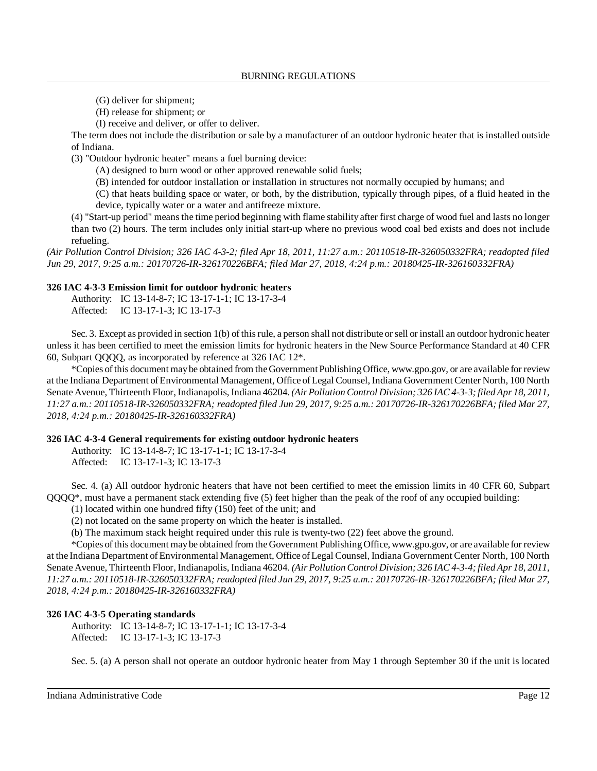- (G) deliver for shipment;
- (H) release for shipment; or
- (I) receive and deliver, or offer to deliver.

The term does not include the distribution or sale by a manufacturer of an outdoor hydronic heater that is installed outside of Indiana.

(3) "Outdoor hydronic heater" means a fuel burning device:

- (A) designed to burn wood or other approved renewable solid fuels;
- (B) intended for outdoor installation or installation in structures not normally occupied by humans; and

(C) that heats building space or water, or both, by the distribution, typically through pipes, of a fluid heated in the device, typically water or a water and antifreeze mixture.

(4) "Start-up period" meansthe time period beginning with flame stability after first charge of wood fuel and lasts no longer than two (2) hours. The term includes only initial start-up where no previous wood coal bed exists and does not include refueling.

*(Air Pollution Control Division; 326 IAC 4-3-2; filed Apr 18, 2011, 11:27 a.m.: 20110518-IR-326050332FRA; readopted filed Jun 29, 2017, 9:25 a.m.: 20170726-IR-326170226BFA; filed Mar 27, 2018, 4:24 p.m.: 20180425-IR-326160332FRA)*

## **326 IAC 4-3-3 Emission limit for outdoor hydronic heaters**

Authority: IC 13-14-8-7; IC 13-17-1-1; IC 13-17-3-4 Affected: IC 13-17-1-3; IC 13-17-3

Sec. 3. Except as provided in section 1(b) of thisrule, a person shall not distribute orsell or install an outdoor hydronic heater unless it has been certified to meet the emission limits for hydronic heaters in the New Source Performance Standard at 40 CFR 60, Subpart QQQQ, as incorporated by reference at 326 IAC 12\*.

\*Copies ofthis document maybe obtained from theGovernment Publishing Office, www.gpo.gov, or are available for review at the Indiana Department of Environmental Management, Office of Legal Counsel, Indiana Government Center North, 100 North Senate Avenue, Thirteenth Floor, Indianapolis, Indiana 46204.*(AirPollution Control Division; 326 IAC 4-3-3; filed Apr 18, 2011, 11:27 a.m.: 20110518-IR-326050332FRA; readopted filed Jun 29, 2017, 9:25 a.m.: 20170726-IR-326170226BFA; filed Mar 27, 2018, 4:24 p.m.: 20180425-IR-326160332FRA)*

## **326 IAC 4-3-4 General requirements for existing outdoor hydronic heaters**

Authority: IC 13-14-8-7; IC 13-17-1-1; IC 13-17-3-4 Affected: IC 13-17-1-3; IC 13-17-3

Sec. 4. (a) All outdoor hydronic heaters that have not been certified to meet the emission limits in 40 CFR 60, Subpart QQQQ\*, must have a permanent stack extending five (5) feet higher than the peak of the roof of any occupied building:

(1) located within one hundred fifty (150) feet of the unit; and

(2) not located on the same property on which the heater is installed.

(b) The maximum stack height required under this rule is twenty-two (22) feet above the ground.

\*Copies ofthis document maybe obtained from the Government Publishing Office, www.gpo.gov, or are available for review at the Indiana Department ofEnvironmental Management, Office ofLegal Counsel, Indiana Government Center North, 100 North Senate Avenue, Thirteenth Floor, Indianapolis, Indiana 46204. *(Air PollutionControl Division; 326 IAC 4-3-4; filed Apr 18, 2011, 11:27 a.m.: 20110518-IR-326050332FRA; readopted filed Jun 29, 2017, 9:25 a.m.: 20170726-IR-326170226BFA; filed Mar 27, 2018, 4:24 p.m.: 20180425-IR-326160332FRA)*

## **326 IAC 4-3-5 Operating standards**

Authority: IC 13-14-8-7; IC 13-17-1-1; IC 13-17-3-4 Affected: IC 13-17-1-3; IC 13-17-3

Sec. 5. (a) A person shall not operate an outdoor hydronic heater from May 1 through September 30 if the unit is located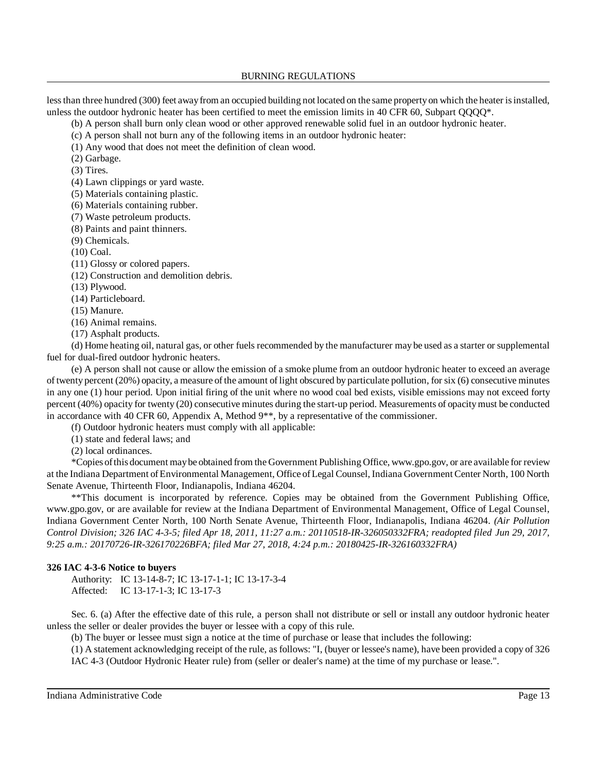less than three hundred (300) feet away from an occupied building not located on the same property on which the heater is installed, unless the outdoor hydronic heater has been certified to meet the emission limits in 40 CFR 60, Subpart QQQQ\*.

(b) A person shall burn only clean wood or other approved renewable solid fuel in an outdoor hydronic heater.

(c) A person shall not burn any of the following items in an outdoor hydronic heater:

(1) Any wood that does not meet the definition of clean wood.

(2) Garbage.

(3) Tires.

(4) Lawn clippings or yard waste.

(5) Materials containing plastic.

(6) Materials containing rubber.

(7) Waste petroleum products.

(8) Paints and paint thinners.

(9) Chemicals.

(10) Coal.

(11) Glossy or colored papers.

(12) Construction and demolition debris.

(13) Plywood.

(14) Particleboard.

(15) Manure.

(16) Animal remains.

(17) Asphalt products.

(d) Home heating oil, natural gas, or other fuels recommended by the manufacturer may be used as a starter or supplemental fuel for dual-fired outdoor hydronic heaters.

(e) A person shall not cause or allow the emission of a smoke plume from an outdoor hydronic heater to exceed an average of twenty percent (20%) opacity, a measure of the amount of light obscured by particulate pollution, for six (6) consecutive minutes in any one (1) hour period. Upon initial firing of the unit where no wood coal bed exists, visible emissions may not exceed forty percent (40%) opacity for twenty (20) consecutive minutes during the start-up period. Measurements of opacitymust be conducted in accordance with 40 CFR 60, Appendix A, Method 9\*\*, by a representative of the commissioner.

(f) Outdoor hydronic heaters must comply with all applicable:

(1) state and federal laws; and

(2) local ordinances.

\*Copies ofthis document maybe obtained from the Government Publishing Office, www.gpo.gov, or are available for review at the Indiana Department ofEnvironmental Management, Office ofLegal Counsel, Indiana Government Center North, 100 North Senate Avenue, Thirteenth Floor, Indianapolis, Indiana 46204.

\*\*This document is incorporated by reference. Copies may be obtained from the Government Publishing Office, www.gpo.gov, or are available for review at the Indiana Department of Environmental Management, Office of Legal Counsel, Indiana Government Center North, 100 North Senate Avenue, Thirteenth Floor, Indianapolis, Indiana 46204. *(Air Pollution Control Division; 326 IAC 4-3-5; filed Apr 18, 2011, 11:27 a.m.: 20110518-IR-326050332FRA; readopted filed Jun 29, 2017, 9:25 a.m.: 20170726-IR-326170226BFA; filed Mar 27, 2018, 4:24 p.m.: 20180425-IR-326160332FRA)*

# **326 IAC 4-3-6 Notice to buyers**

Authority: IC 13-14-8-7; IC 13-17-1-1; IC 13-17-3-4 Affected: IC 13-17-1-3; IC 13-17-3

Sec. 6. (a) After the effective date of this rule, a person shall not distribute or sell or install any outdoor hydronic heater unless the seller or dealer provides the buyer or lessee with a copy of this rule.

(b) The buyer or lessee must sign a notice at the time of purchase or lease that includes the following:

(1) A statement acknowledging receipt of the rule, as follows: "I, (buyer or lessee's name), have been provided a copy of 326 IAC 4-3 (Outdoor Hydronic Heater rule) from (seller or dealer's name) at the time of my purchase or lease.".